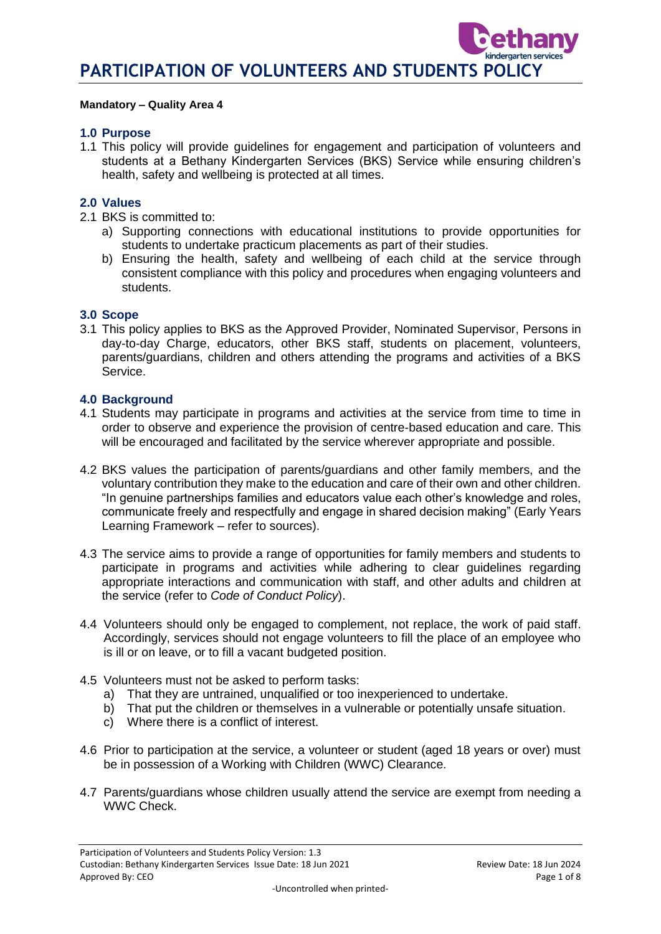#### **Mandatory – Quality Area 4**

#### **1.0 Purpose**

1.1 This policy will provide guidelines for engagement and participation of volunteers and students at a Bethany Kindergarten Services (BKS) Service while ensuring children's health, safety and wellbeing is protected at all times.

#### **2.0 Values**

- 2.1 BKS is committed to:
	- a) Supporting connections with educational institutions to provide opportunities for students to undertake practicum placements as part of their studies.
	- b) Ensuring the health, safety and wellbeing of each child at the service through consistent compliance with this policy and procedures when engaging volunteers and students.

#### **3.0 Scope**

3.1 This policy applies to BKS as the Approved Provider, Nominated Supervisor, Persons in day-to-day Charge, educators, other BKS staff, students on placement, volunteers, parents/guardians, children and others attending the programs and activities of a BKS Service.

#### **4.0 Background**

- 4.1 Students may participate in programs and activities at the service from time to time in order to observe and experience the provision of centre-based education and care. This will be encouraged and facilitated by the service wherever appropriate and possible.
- 4.2 BKS values the participation of parents/guardians and other family members, and the voluntary contribution they make to the education and care of their own and other children. "In genuine partnerships families and educators value each other's knowledge and roles, communicate freely and respectfully and engage in shared decision making" (Early Years Learning Framework – refer to sources).
- 4.3 The service aims to provide a range of opportunities for family members and students to participate in programs and activities while adhering to clear guidelines regarding appropriate interactions and communication with staff, and other adults and children at the service (refer to *Code of Conduct Policy*).
- 4.4 Volunteers should only be engaged to complement, not replace, the work of paid staff. Accordingly, services should not engage volunteers to fill the place of an employee who is ill or on leave, or to fill a vacant budgeted position.
- 4.5 Volunteers must not be asked to perform tasks:
	- a) That they are untrained, unqualified or too inexperienced to undertake.
	- b) That put the children or themselves in a vulnerable or potentially unsafe situation.
	- c) Where there is a conflict of interest.
- 4.6 Prior to participation at the service, a volunteer or student (aged 18 years or over) must be in possession of a Working with Children (WWC) Clearance.
- 4.7 Parents/guardians whose children usually attend the service are exempt from needing a WWC Check.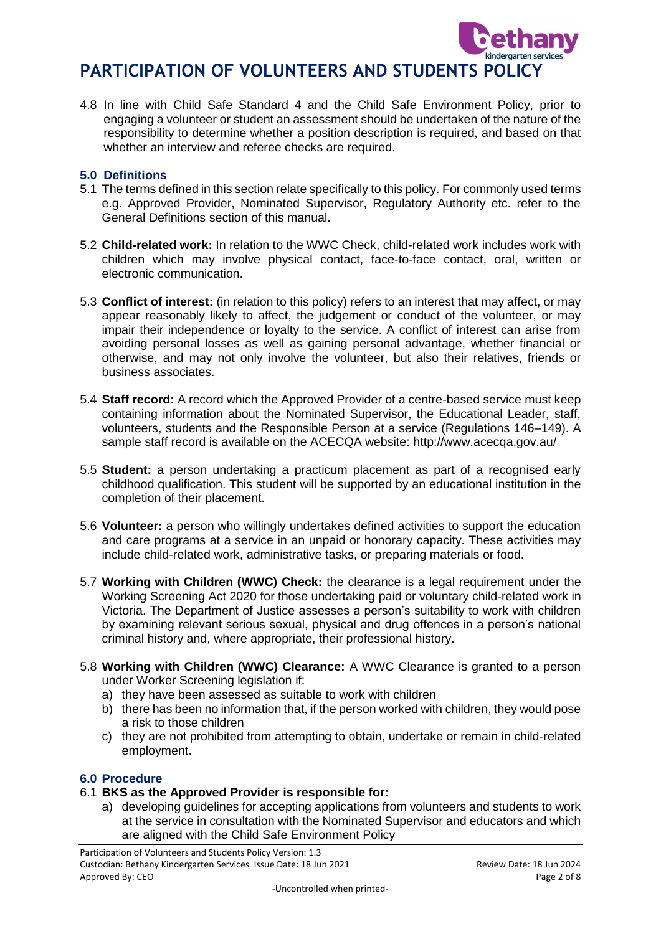4.8 In line with Child Safe Standard 4 and the Child Safe Environment Policy, prior to engaging a volunteer or student an assessment should be undertaken of the nature of the responsibility to determine whether a position description is required, and based on that whether an interview and referee checks are required.

## **5.0 Definitions**

- 5.1 The terms defined in this section relate specifically to this policy. For commonly used terms e.g. Approved Provider, Nominated Supervisor, Regulatory Authority etc. refer to the General Definitions section of this manual.
- 5.2 **Child-related work:** In relation to the WWC Check, child-related work includes work with children which may involve physical contact, face-to-face contact, oral, written or electronic communication.
- 5.3 **Conflict of interest:** (in relation to this policy) refers to an interest that may affect, or may appear reasonably likely to affect, the judgement or conduct of the volunteer, or may impair their independence or loyalty to the service. A conflict of interest can arise from avoiding personal losses as well as gaining personal advantage, whether financial or otherwise, and may not only involve the volunteer, but also their relatives, friends or business associates.
- 5.4 **Staff record:** A record which the Approved Provider of a centre-based service must keep containing information about the Nominated Supervisor, the Educational Leader, staff, volunteers, students and the Responsible Person at a service (Regulations 146–149). A sample staff record is available on the ACECQA website: http://www.acecqa.gov.au/
- 5.5 **Student:** a person undertaking a practicum placement as part of a recognised early childhood qualification. This student will be supported by an educational institution in the completion of their placement.
- 5.6 **Volunteer:** a person who willingly undertakes defined activities to support the education and care programs at a service in an unpaid or honorary capacity. These activities may include child-related work, administrative tasks, or preparing materials or food.
- 5.7 **Working with Children (WWC) Check:** the clearance is a legal requirement under the Working Screening Act 2020 for those undertaking paid or voluntary child-related work in Victoria. The Department of Justice assesses a person's suitability to work with children by examining relevant serious sexual, physical and drug offences in a person's national criminal history and, where appropriate, their professional history.
- 5.8 **Working with Children (WWC) Clearance:** A WWC Clearance is granted to a person under Worker Screening legislation if:
	- a) they have been assessed as suitable to work with children
	- b) there has been no information that, if the person worked with children, they would pose a risk to those children
	- c) they are not prohibited from attempting to obtain, undertake or remain in child-related employment.

# **6.0 Procedure**

- 6.1 **BKS as the Approved Provider is responsible for:**
	- a) developing guidelines for accepting applications from volunteers and students to work at the service in consultation with the Nominated Supervisor and educators and which are aligned with the Child Safe Environment Policy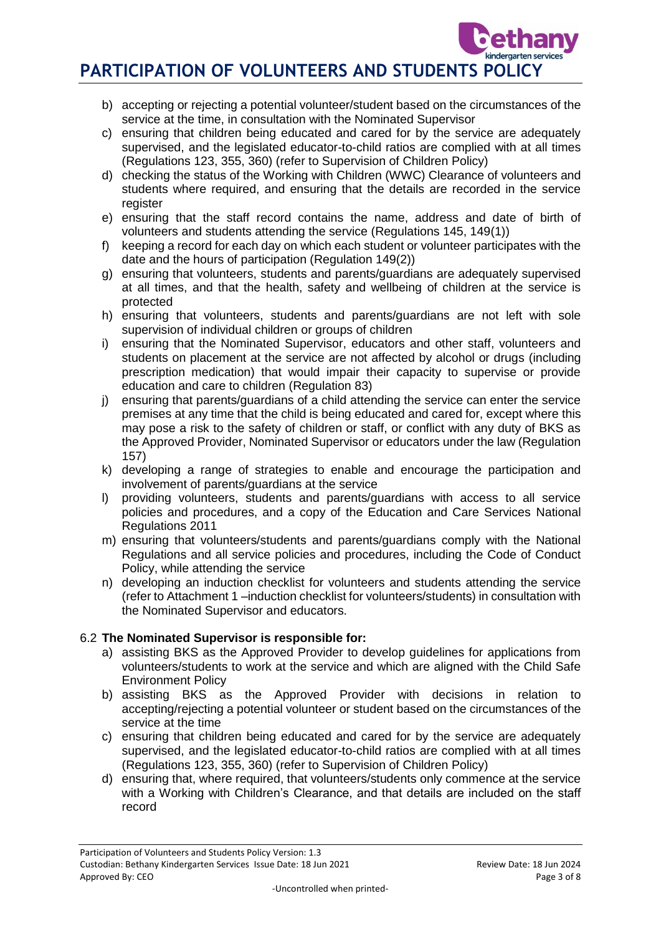- b) accepting or rejecting a potential volunteer/student based on the circumstances of the service at the time, in consultation with the Nominated Supervisor
- c) ensuring that children being educated and cared for by the service are adequately supervised, and the legislated educator-to-child ratios are complied with at all times (Regulations 123, 355, 360) (refer to Supervision of Children Policy)
- d) checking the status of the Working with Children (WWC) Clearance of volunteers and students where required, and ensuring that the details are recorded in the service register
- e) ensuring that the staff record contains the name, address and date of birth of volunteers and students attending the service (Regulations 145, 149(1))
- f) keeping a record for each day on which each student or volunteer participates with the date and the hours of participation (Regulation 149(2))
- g) ensuring that volunteers, students and parents/guardians are adequately supervised at all times, and that the health, safety and wellbeing of children at the service is protected
- h) ensuring that volunteers, students and parents/guardians are not left with sole supervision of individual children or groups of children
- i) ensuring that the Nominated Supervisor, educators and other staff, volunteers and students on placement at the service are not affected by alcohol or drugs (including prescription medication) that would impair their capacity to supervise or provide education and care to children (Regulation 83)
- j) ensuring that parents/guardians of a child attending the service can enter the service premises at any time that the child is being educated and cared for, except where this may pose a risk to the safety of children or staff, or conflict with any duty of BKS as the Approved Provider, Nominated Supervisor or educators under the law (Regulation 157)
- k) developing a range of strategies to enable and encourage the participation and involvement of parents/guardians at the service
- l) providing volunteers, students and parents/guardians with access to all service policies and procedures, and a copy of the Education and Care Services National Regulations 2011
- m) ensuring that volunteers/students and parents/guardians comply with the National Regulations and all service policies and procedures, including the Code of Conduct Policy, while attending the service
- n) developing an induction checklist for volunteers and students attending the service (refer to Attachment 1 –induction checklist for volunteers/students) in consultation with the Nominated Supervisor and educators.

# 6.2 **The Nominated Supervisor is responsible for:**

- a) assisting BKS as the Approved Provider to develop guidelines for applications from volunteers/students to work at the service and which are aligned with the Child Safe Environment Policy
- b) assisting BKS as the Approved Provider with decisions in relation to accepting/rejecting a potential volunteer or student based on the circumstances of the service at the time
- c) ensuring that children being educated and cared for by the service are adequately supervised, and the legislated educator-to-child ratios are complied with at all times (Regulations 123, 355, 360) (refer to Supervision of Children Policy)
- d) ensuring that, where required, that volunteers/students only commence at the service with a Working with Children's Clearance, and that details are included on the staff record

services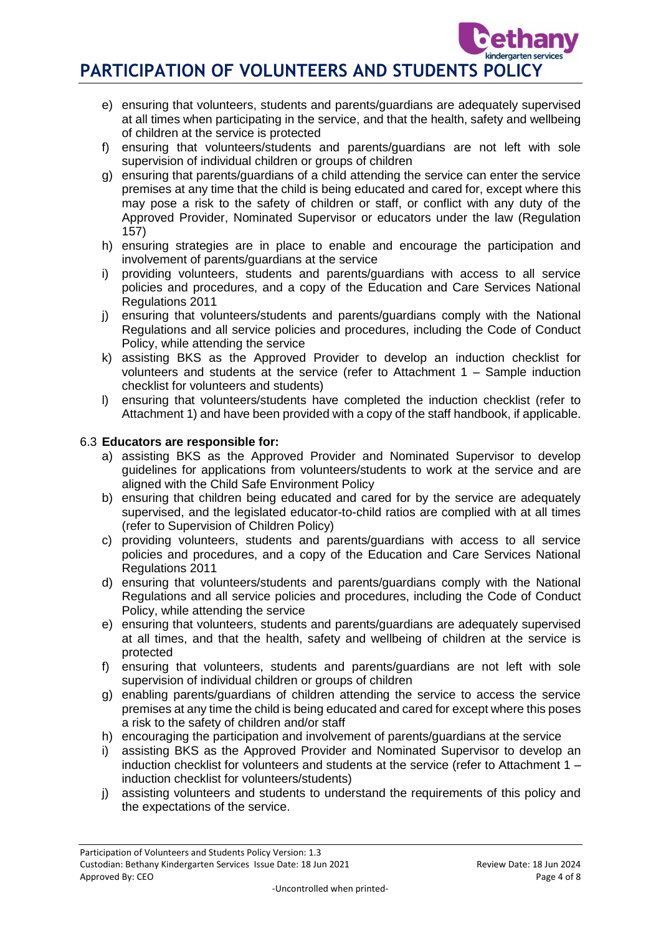- e) ensuring that volunteers, students and parents/guardians are adequately supervised at all times when participating in the service, and that the health, safety and wellbeing of children at the service is protected
- f) ensuring that volunteers/students and parents/guardians are not left with sole supervision of individual children or groups of children
- g) ensuring that parents/guardians of a child attending the service can enter the service premises at any time that the child is being educated and cared for, except where this may pose a risk to the safety of children or staff, or conflict with any duty of the Approved Provider, Nominated Supervisor or educators under the law (Regulation 157)
- h) ensuring strategies are in place to enable and encourage the participation and involvement of parents/guardians at the service
- i) providing volunteers, students and parents/guardians with access to all service policies and procedures, and a copy of the Education and Care Services National Regulations 2011
- j) ensuring that volunteers/students and parents/guardians comply with the National Regulations and all service policies and procedures, including the Code of Conduct Policy, while attending the service
- k) assisting BKS as the Approved Provider to develop an induction checklist for volunteers and students at the service (refer to Attachment 1 – Sample induction checklist for volunteers and students)
- l) ensuring that volunteers/students have completed the induction checklist (refer to Attachment 1) and have been provided with a copy of the staff handbook, if applicable.

# 6.3 **Educators are responsible for:**

- a) assisting BKS as the Approved Provider and Nominated Supervisor to develop guidelines for applications from volunteers/students to work at the service and are aligned with the Child Safe Environment Policy
- b) ensuring that children being educated and cared for by the service are adequately supervised, and the legislated educator-to-child ratios are complied with at all times (refer to Supervision of Children Policy)
- c) providing volunteers, students and parents/guardians with access to all service policies and procedures, and a copy of the Education and Care Services National Regulations 2011
- d) ensuring that volunteers/students and parents/guardians comply with the National Regulations and all service policies and procedures, including the Code of Conduct Policy, while attending the service
- e) ensuring that volunteers, students and parents/guardians are adequately supervised at all times, and that the health, safety and wellbeing of children at the service is protected
- f) ensuring that volunteers, students and parents/guardians are not left with sole supervision of individual children or groups of children
- g) enabling parents/guardians of children attending the service to access the service premises at any time the child is being educated and cared for except where this poses a risk to the safety of children and/or staff
- h) encouraging the participation and involvement of parents/guardians at the service
- i) assisting BKS as the Approved Provider and Nominated Supervisor to develop an induction checklist for volunteers and students at the service (refer to Attachment 1 – induction checklist for volunteers/students)
- j) assisting volunteers and students to understand the requirements of this policy and the expectations of the service.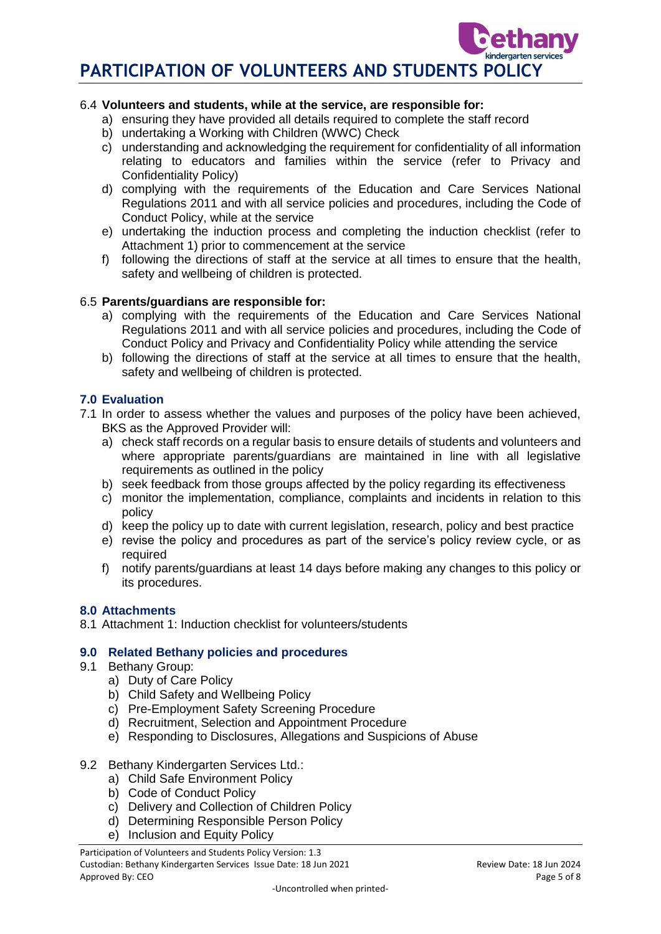## 6.4 **Volunteers and students, while at the service, are responsible for:**

- a) ensuring they have provided all details required to complete the staff record
- b) undertaking a Working with Children (WWC) Check
- c) understanding and acknowledging the requirement for confidentiality of all information relating to educators and families within the service (refer to Privacy and Confidentiality Policy)
- d) complying with the requirements of the Education and Care Services National Regulations 2011 and with all service policies and procedures, including the Code of Conduct Policy, while at the service
- e) undertaking the induction process and completing the induction checklist (refer to Attachment 1) prior to commencement at the service
- f) following the directions of staff at the service at all times to ensure that the health, safety and wellbeing of children is protected.

## 6.5 **Parents/guardians are responsible for:**

- a) complying with the requirements of the Education and Care Services National Regulations 2011 and with all service policies and procedures, including the Code of Conduct Policy and Privacy and Confidentiality Policy while attending the service
- b) following the directions of staff at the service at all times to ensure that the health, safety and wellbeing of children is protected.

# **7.0 Evaluation**

- 7.1 In order to assess whether the values and purposes of the policy have been achieved, BKS as the Approved Provider will:
	- a) check staff records on a regular basis to ensure details of students and volunteers and where appropriate parents/guardians are maintained in line with all legislative requirements as outlined in the policy
	- b) seek feedback from those groups affected by the policy regarding its effectiveness
	- c) monitor the implementation, compliance, complaints and incidents in relation to this policy
	- d) keep the policy up to date with current legislation, research, policy and best practice
	- e) revise the policy and procedures as part of the service's policy review cycle, or as required
	- f) notify parents/guardians at least 14 days before making any changes to this policy or its procedures.

## **8.0 Attachments**

8.1 Attachment 1: Induction checklist for volunteers/students

## **9.0 Related Bethany policies and procedures**

- 9.1 Bethany Group:
	- a) Duty of Care Policy
	- b) Child Safety and Wellbeing Policy
	- c) Pre-Employment Safety Screening Procedure
	- d) Recruitment, Selection and Appointment Procedure
	- e) Responding to Disclosures, Allegations and Suspicions of Abuse

## 9.2 Bethany Kindergarten Services Ltd.:

- a) Child Safe Environment Policy
- b) Code of Conduct Policy
- c) Delivery and Collection of Children Policy
- d) Determining Responsible Person Policy
- e) Inclusion and Equity Policy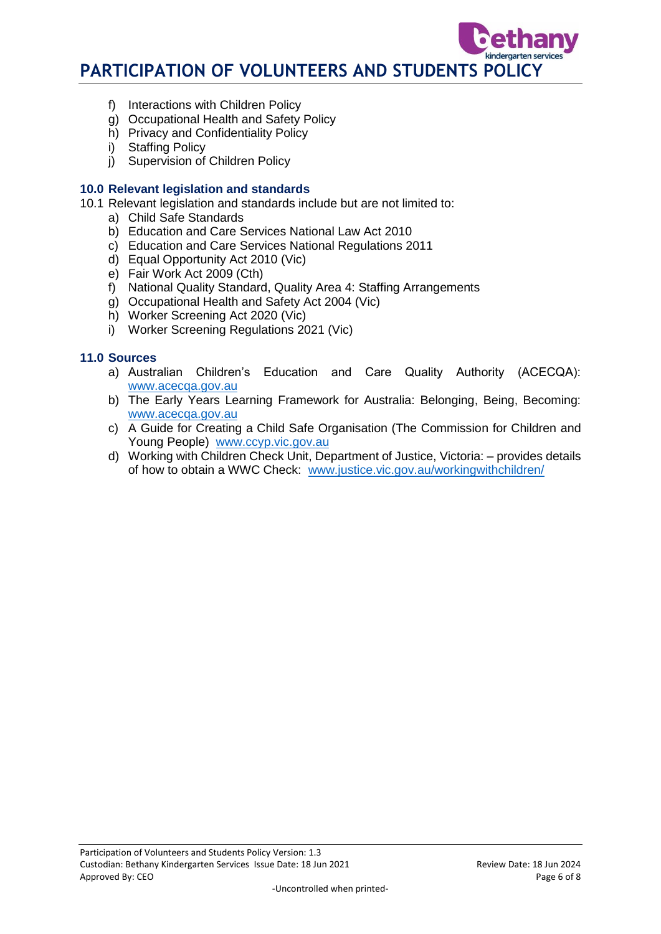- f) Interactions with Children Policy
- g) Occupational Health and Safety Policy
- h) Privacy and Confidentiality Policy
- i) Staffing Policy
- j) Supervision of Children Policy

## **10.0 Relevant legislation and standards**

- 10.1 Relevant legislation and standards include but are not limited to:
	- a) Child Safe Standards
	- b) Education and Care Services National Law Act 2010
	- c) Education and Care Services National Regulations 2011
	- d) Equal Opportunity Act 2010 (Vic)
	- e) Fair Work Act 2009 (Cth)
	- f) National Quality Standard, Quality Area 4: Staffing Arrangements
	- g) Occupational Health and Safety Act 2004 (Vic)
	- h) Worker Screening Act 2020 (Vic)
	- i) Worker Screening Regulations 2021 (Vic)

# **11.0 Sources**

- a) Australian Children's Education and Care Quality Authority (ACECQA): [www.acecqa.gov.au](http://www.acecqa.gov.au/)
- b) The Early Years Learning Framework for Australia: Belonging, Being, Becoming: [www.acecqa.gov.au](http://www.acecqa.gov.au/)
- c) A Guide for Creating a Child Safe Organisation (The Commission for Children and Young People) [www.ccyp.vic.gov.au](file://///kpv-sbs/data/BD&G/Communications/Publications/Policy%20Works/2017%20Final%20PolicyWorks/www.ccyp.vic.gov.au)
- d) Working with Children Check Unit, Department of Justice, Victoria: provides details of how to obtain a WWC Check: [www.justice.vic.gov.au/workingwithchildren/](http://www.justice.vic.gov.au/workingwithchildren/)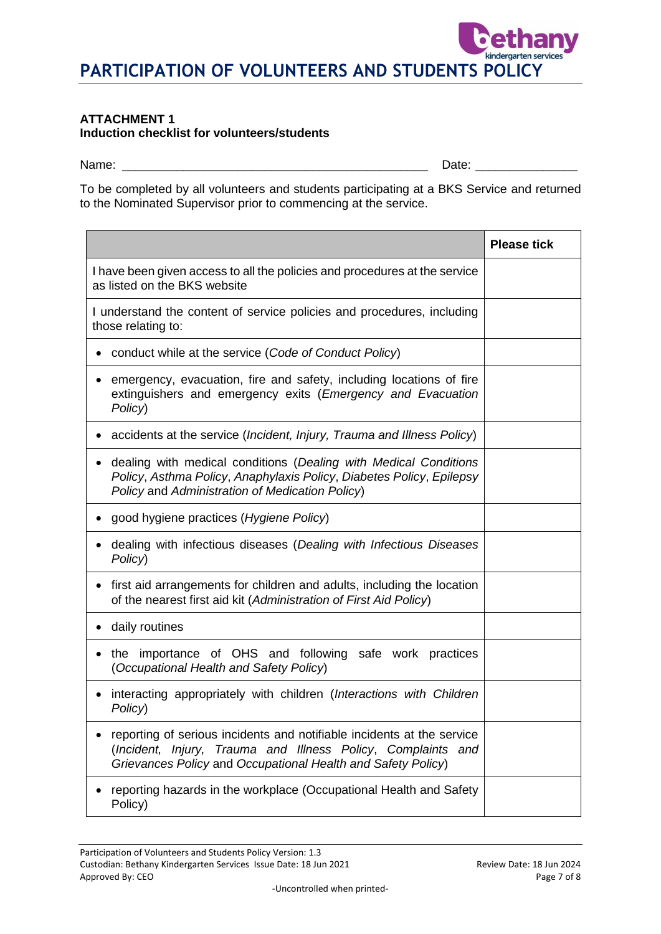#### **ATTACHMENT 1 Induction checklist for volunteers/students**

Name: \_\_\_\_\_\_\_\_\_\_\_\_\_\_\_\_\_\_\_\_\_\_\_\_\_\_\_\_\_\_\_\_\_\_\_\_\_\_\_\_\_\_\_\_\_ Date: \_\_\_\_\_\_\_\_\_\_\_\_\_\_\_

services

To be completed by all volunteers and students participating at a BKS Service and returned to the Nominated Supervisor prior to commencing at the service.

|                                                                                                                                                                                                        | <b>Please tick</b> |
|--------------------------------------------------------------------------------------------------------------------------------------------------------------------------------------------------------|--------------------|
| I have been given access to all the policies and procedures at the service<br>as listed on the BKS website                                                                                             |                    |
| I understand the content of service policies and procedures, including<br>those relating to:                                                                                                           |                    |
| conduct while at the service (Code of Conduct Policy)                                                                                                                                                  |                    |
| emergency, evacuation, fire and safety, including locations of fire<br>extinguishers and emergency exits (Emergency and Evacuation<br>Policy)                                                          |                    |
| accidents at the service (Incident, Injury, Trauma and Illness Policy)                                                                                                                                 |                    |
| dealing with medical conditions (Dealing with Medical Conditions<br>Policy, Asthma Policy, Anaphylaxis Policy, Diabetes Policy, Epilepsy<br>Policy and Administration of Medication Policy)            |                    |
| good hygiene practices (Hygiene Policy)                                                                                                                                                                |                    |
| dealing with infectious diseases (Dealing with Infectious Diseases<br>Policy)                                                                                                                          |                    |
| first aid arrangements for children and adults, including the location<br>of the nearest first aid kit (Administration of First Aid Policy)                                                            |                    |
| daily routines                                                                                                                                                                                         |                    |
| the importance of OHS and following safe work practices<br>(Occupational Health and Safety Policy)                                                                                                     |                    |
| interacting appropriately with children (Interactions with Children<br>Policy)                                                                                                                         |                    |
| reporting of serious incidents and notifiable incidents at the service<br>(Incident, Injury, Trauma and Illness Policy, Complaints and<br>Grievances Policy and Occupational Health and Safety Policy) |                    |
| reporting hazards in the workplace (Occupational Health and Safety<br>Policy)                                                                                                                          |                    |